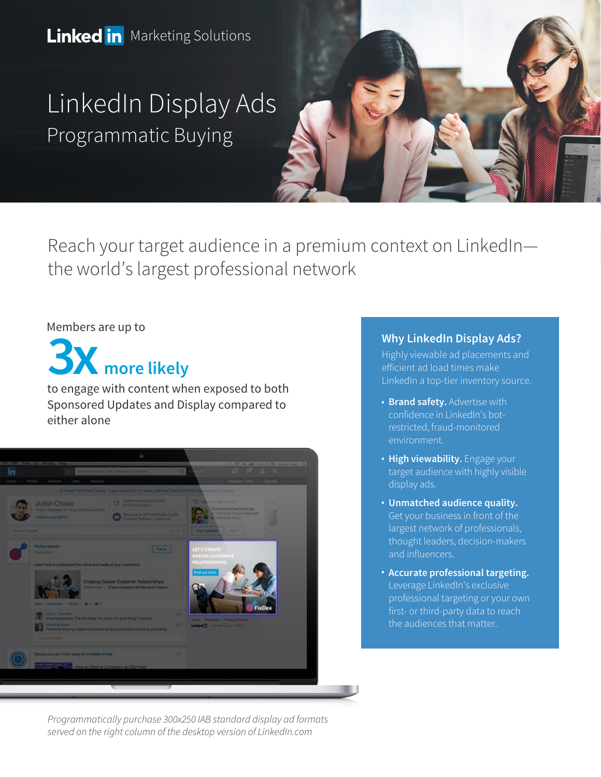**Linked in** Marketing Solutions

LinkedIn Display Ads Programmatic Buying



Reach your target audience in a premium context on LinkedIn the world's largest professional network

#### Members are up to



to engage with content when exposed to both Sponsored Updates and Display compared to either alone



#### **Why LinkedIn Display Ads?**

Highly viewable ad placements and efficient ad load times make LinkedIn a top-tier inventory source.

- **Brand safety.** Advertise with confidence in LinkedIn's botrestricted, fraud-monitored environment.
- **High viewability.** Engage your target audience with highly visible display ads.
- **Unmatched audience quality.**  Get your business in front of the largest network of professionals, thought leaders, decision-makers and influencers.
- **Accurate professional targeting.**  Leverage LinkedIn's exclusive professional targeting or your own first- or third-party data to reach the audiences that matter.

*Programmatically purchase 300x250 IAB standard display ad formats served on the right column of the desktop version of LinkedIn.com*